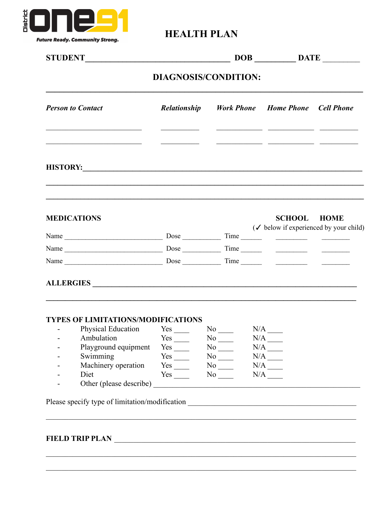

## **HEALTH PLAN**

|                                                                                                                                                                              |                                 |                                            |  | $DOB$ $DATE$                                                                                                                                                                     |  |  |  |  |
|------------------------------------------------------------------------------------------------------------------------------------------------------------------------------|---------------------------------|--------------------------------------------|--|----------------------------------------------------------------------------------------------------------------------------------------------------------------------------------|--|--|--|--|
| DIAGNOSIS/CONDITION:                                                                                                                                                         |                                 |                                            |  |                                                                                                                                                                                  |  |  |  |  |
| <b>Person to Contact</b>                                                                                                                                                     |                                 |                                            |  | Relationship Work Phone Home Phone Cell Phone                                                                                                                                    |  |  |  |  |
| <u> 1989 - Johann John Stein, markin fan it ferstjer fan it ferstjer fan it ferstjer fan it ferstjer fan it fers</u><br><u> 1989 - Jan Barnett, fransk politik (d. 1989)</u> |                                 |                                            |  | <u> Alexandro de Alexandro de San Alexandro de Alexandro de San Alexandro de San Alexandro de San Alexandro de S</u><br><u> 1989 - John Stein, mars and de Barbara (b. 1989)</u> |  |  |  |  |
| ,我们也不会有什么。""我们的人,我们也不会有什么?""我们的人,我们也不会有什么?""我们的人,我们也不会有什么?""我们的人,我们也不会有什么?""我们的人<br><b>MEDICATIONS</b>                                                                       |                                 |                                            |  | <b>SCHOOL HOME</b><br>$(\checkmark)$ below if experienced by your child)                                                                                                         |  |  |  |  |
|                                                                                                                                                                              |                                 |                                            |  |                                                                                                                                                                                  |  |  |  |  |
|                                                                                                                                                                              |                                 |                                            |  |                                                                                                                                                                                  |  |  |  |  |
|                                                                                                                                                                              |                                 |                                            |  |                                                                                                                                                                                  |  |  |  |  |
| ALLERGIES                                                                                                                                                                    |                                 |                                            |  |                                                                                                                                                                                  |  |  |  |  |
| <b>TYPES OF LIMITATIONS/MODIFICATIONS</b><br>Physical Education Yes No N/A N/A                                                                                               |                                 |                                            |  |                                                                                                                                                                                  |  |  |  |  |
| - Ambulation Yes No N/A                                                                                                                                                      |                                 |                                            |  |                                                                                                                                                                                  |  |  |  |  |
| Playground equipment<br>Swimming                                                                                                                                             | $Yes$ <sub>____</sub>           | $No$ <sub>——</sub>                         |  |                                                                                                                                                                                  |  |  |  |  |
| Machinery operation                                                                                                                                                          | $Yes$ <sub>____</sub>           | $No$ <sub>——</sub><br>$No$ <sub>____</sub> |  | $N/A$ <sub>——</sub>                                                                                                                                                              |  |  |  |  |
| Diet                                                                                                                                                                         | $Yes \_\_$ No $\_\_$ N/A $\_\_$ |                                            |  |                                                                                                                                                                                  |  |  |  |  |
|                                                                                                                                                                              |                                 |                                            |  |                                                                                                                                                                                  |  |  |  |  |
| Please specify type of limitation/modification __________________________________                                                                                            |                                 |                                            |  |                                                                                                                                                                                  |  |  |  |  |
|                                                                                                                                                                              |                                 |                                            |  |                                                                                                                                                                                  |  |  |  |  |
|                                                                                                                                                                              |                                 |                                            |  |                                                                                                                                                                                  |  |  |  |  |
| ,我们也不能在这里的时候,我们也不能在这里的时候,我们也不能在这里的时候,我们也不能会不能在这里的时候,我们也不能会不能会不能会不能会不能会不能会不能会不能会不                                                                                             |                                 |                                            |  |                                                                                                                                                                                  |  |  |  |  |